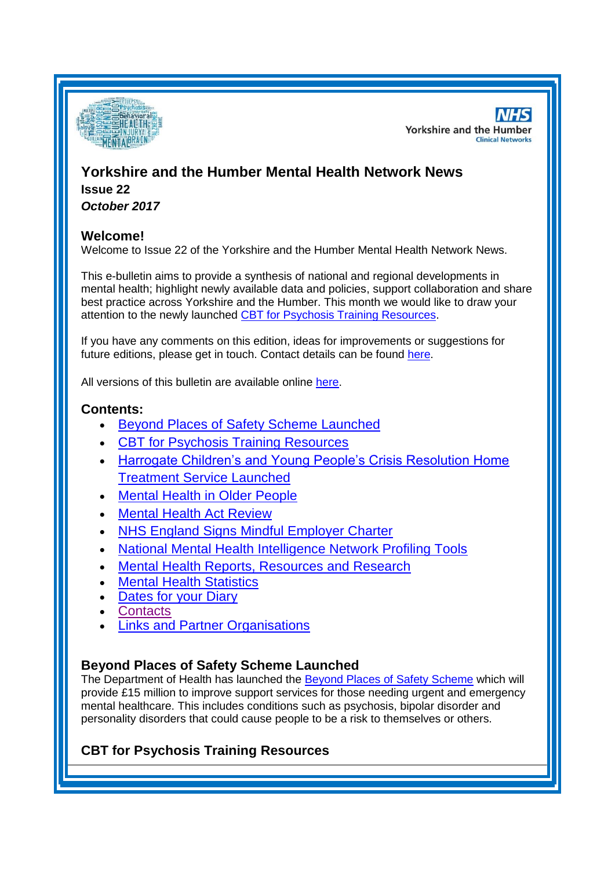

**NHS Yorkshire and the Humber Clinical Networks** 

## **Yorkshire and the Humber Mental Health Network News Issue 22**

*October 2017*

### **Welcome!**

Welcome to Issue 22 of the Yorkshire and the Humber Mental Health Network News.

This e-bulletin aims to provide a synthesis of national and regional developments in mental health; highlight newly available data and policies, support collaboration and share best practice across Yorkshire and the Humber. This month we would like to draw your attention to the newly launched [CBT for Psychosis Training Resources.](#page-0-0)

If you have any comments on this edition, ideas for improvements or suggestions for future editions, please get in touch. Contact details can be found [here.](#page-5-0)

All versions of this bulletin are available online [here.](http://www.yhscn.nhs.uk/mental-health-clinic/mental-health-network/MH-documents-and-links.php)

## **Contents:**

- [Beyond Places of Safety](#page-0-1) Scheme Launched
- [CBT for Psychosis Training Resources](#page-0-0)
- [Harrogate Children's and Young People's Crisis Resolution Home](#page-1-0)  [Treatment Service Launched](#page-1-0)
- [Mental Health in Older People](#page-1-1)
- [Mental Health Act Review](#page-1-2)
- [NHS England Signs Mindful Employer Charter](#page-1-3)
- [National Mental Health Intelligence Network Profiling Tools](#page-0-2)
- [Mental Health Reports, Resources and Research](#page-0-2)
- [Mental Health Statistics](#page-4-0)
- [Dates for your](#page-4-1) Diary
- **[Contacts](#page-5-0)**
- **[Links and Partner Organisations](#page-6-0)**

### <span id="page-0-2"></span><span id="page-0-1"></span>**Beyond Places of Safety Scheme Launched**

The Department of Health has launched the [Beyond Places of Safety Scheme](https://www.gov.uk/government/news/new-15-million-grant-scheme-to-improve-mental-healthcare) which will provide £15 million to improve support services for those needing urgent and emergency mental healthcare. This includes conditions such as psychosis, bipolar disorder and personality disorders that could cause people to be a risk to themselves or others.

# <span id="page-0-0"></span>**CBT for Psychosis Training Resources**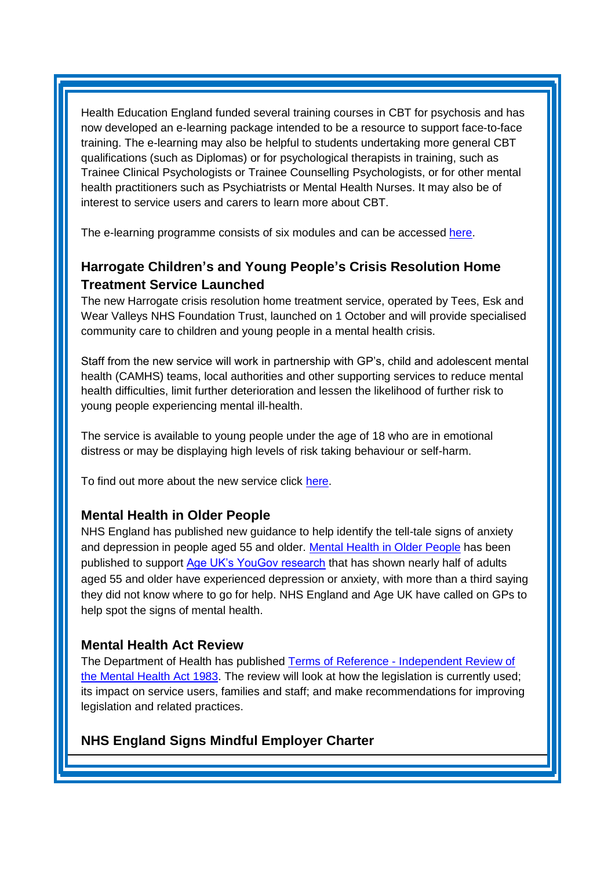Health Education England funded several training courses in CBT for psychosis and has now developed an e-learning package intended to be a resource to support face-to-face training. The e-learning may also be helpful to students undertaking more general CBT qualifications (such as Diplomas) or for psychological therapists in training, such as Trainee Clinical Psychologists or Trainee Counselling Psychologists, or for other mental health practitioners such as Psychiatrists or Mental Health Nurses. It may also be of interest to service users and carers to learn more about CBT.

The e-learning programme consists of six modules and can be accessed [here.](https://www.e-lfh.org.uk/programmes/cognitive-behavioural-therapies-for-psychosis/)

# <span id="page-1-0"></span>**Harrogate Children's and Young People's Crisis Resolution Home Treatment Service Launched**

The new Harrogate crisis resolution home treatment service, operated by Tees, Esk and Wear Valleys NHS Foundation Trust, launched on 1 October and will provide specialised community care to children and young people in a mental health crisis.

Staff from the new service will work in partnership with GP's, child and adolescent mental health (CAMHS) teams, local authorities and other supporting services to reduce mental health difficulties, limit further deterioration and lessen the likelihood of further risk to young people experiencing mental ill-health.

The service is available to young people under the age of 18 who are in emotional distress or may be displaying high levels of risk taking behaviour or self-harm.

To find out more about the new service click [here.](http://www.harrogateandruraldistrictccg.nhs.uk/index/news/?post=nhs-trust-introduces-new-service-for-children-and-young-people-in-harrogate)

### <span id="page-1-1"></span>**Mental Health in Older People**

NHS England has published new guidance to help identify the tell-tale signs of anxiety and depression in people aged 55 and older. [Mental Health in Older People](http://informed.cmail19.com/t/d-l-uruyhtt-clkuyzuk-y/) has been published to support [Age UK's YouGov research](http://informed.cmail19.com/t/d-l-uruyhtt-clkuyzuk-j/) that has shown nearly half of adults aged 55 and older have experienced depression or anxiety, with more than a third saying they did not know where to go for help. NHS England and Age UK have called on GPs to help spot the signs of mental health.

### <span id="page-1-2"></span>**Mental Health Act Review**

The Department of Health has published Terms of Reference - [Independent Review of](https://www.gov.uk/government/publications/mental-health-act-independent-review)  [the Mental Health Act 1983.](https://www.gov.uk/government/publications/mental-health-act-independent-review) The review will look at how the legislation is currently used; its impact on service users, families and staff; and make recommendations for improving legislation and related practices.

## <span id="page-1-3"></span>**NHS England Signs Mindful Employer Charter**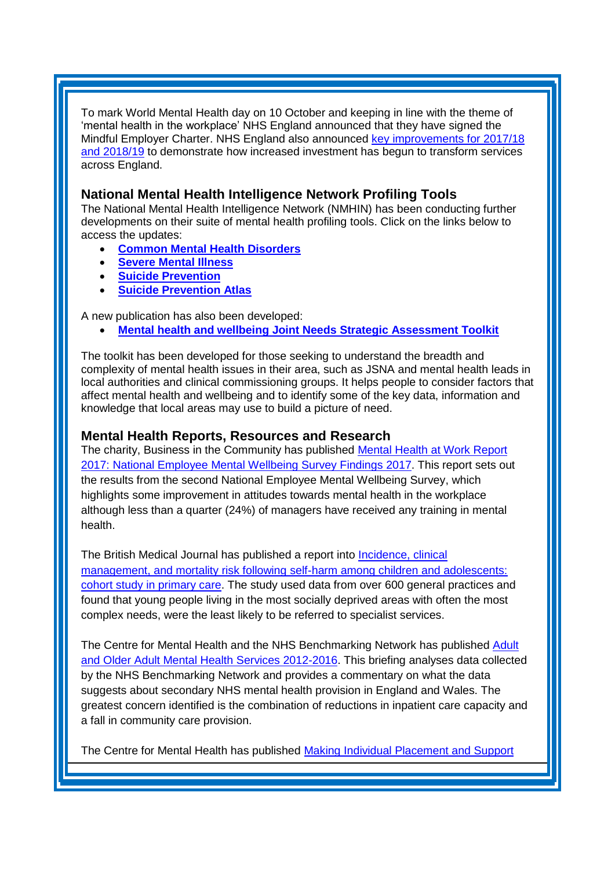To mark World Mental Health day on 10 October and keeping in line with the theme of 'mental health in the workplace' NHS England announced that they have signed the Mindful Employer Charter. NHS England also announced key [improvements for 2017/18](https://www.england.nhs.uk/five-year-forward-view/next-steps-on-the-nhs-five-year-forward-view/mental-health/)  [and 2018/19](https://www.england.nhs.uk/five-year-forward-view/next-steps-on-the-nhs-five-year-forward-view/mental-health/) to demonstrate how increased investment has begun to transform services across England.

### **National Mental Health Intelligence Network Profiling Tools**

The National Mental Health Intelligence Network (NMHIN) has been conducting further developments on their suite of mental health profiling tools. Click on the links below to access the updates:

- **[Common Mental Health Disorders](http://links.govdelivery.com/track?type=click&enid=ZWFzPTEmbXNpZD0mYXVpZD0mbWFpbGluZ2lkPTIwMTcxMDA1Ljc5MDY3OTkxJm1lc3NhZ2VpZD1NREItUFJELUJVTC0yMDE3MTAwNS43OTA2Nzk5MSZkYXRhYmFzZWlkPTEwMDEmc2VyaWFsPTE2OTU2NDQyJmVtYWlsaWQ9c2FyYWguYm91bEBuaHMubmV0JnVzZXJpZD1zYXJhaC5ib3VsQG5ocy5uZXQmdGFyZ2V0aWQ9JmZsPSZleHRyYT1NdWx0aXZhcmlhdGVJZD0mJiY=&&&108&&&https://fingertips.phe.org.uk/profile-group/mental-health/profile/common-mental-disorders)**
- **[Severe Mental Illness](http://links.govdelivery.com/track?type=click&enid=ZWFzPTEmbXNpZD0mYXVpZD0mbWFpbGluZ2lkPTIwMTcxMDA1Ljc5MDY3OTkxJm1lc3NhZ2VpZD1NREItUFJELUJVTC0yMDE3MTAwNS43OTA2Nzk5MSZkYXRhYmFzZWlkPTEwMDEmc2VyaWFsPTE2OTU2NDQyJmVtYWlsaWQ9c2FyYWguYm91bEBuaHMubmV0JnVzZXJpZD1zYXJhaC5ib3VsQG5ocy5uZXQmdGFyZ2V0aWQ9JmZsPSZleHRyYT1NdWx0aXZhcmlhdGVJZD0mJiY=&&&109&&&http://fingertips.phe.org.uk/profile-group/mental-health/profile/severe-mental-illness)**
- **[Suicide Prevention](http://links.govdelivery.com/track?type=click&enid=ZWFzPTEmbXNpZD0mYXVpZD0mbWFpbGluZ2lkPTIwMTcxMDA1Ljc5MDY3OTkxJm1lc3NhZ2VpZD1NREItUFJELUJVTC0yMDE3MTAwNS43OTA2Nzk5MSZkYXRhYmFzZWlkPTEwMDEmc2VyaWFsPTE2OTU2NDQyJmVtYWlsaWQ9c2FyYWguYm91bEBuaHMubmV0JnVzZXJpZD1zYXJhaC5ib3VsQG5ocy5uZXQmdGFyZ2V0aWQ9JmZsPSZleHRyYT1NdWx0aXZhcmlhdGVJZD0mJiY=&&&110&&&http://fingertips.phe.org.uk/profile-group/mental-health/profile/suicide)**
- **[Suicide Prevention Atlas](http://links.govdelivery.com/track?type=click&enid=ZWFzPTEmbXNpZD0mYXVpZD0mbWFpbGluZ2lkPTIwMTcxMDA1Ljc5MDY3OTkxJm1lc3NhZ2VpZD1NREItUFJELUJVTC0yMDE3MTAwNS43OTA2Nzk5MSZkYXRhYmFzZWlkPTEwMDEmc2VyaWFsPTE2OTU2NDQyJmVtYWlsaWQ9c2FyYWguYm91bEBuaHMubmV0JnVzZXJpZD1zYXJhaC5ib3VsQG5ocy5uZXQmdGFyZ2V0aWQ9JmZsPSZleHRyYT1NdWx0aXZhcmlhdGVJZD0mJiY=&&&111&&&https://healthierlives.phe.org.uk/topic/suicide-prevention)**

A new publication has also been developed:

**[Mental health and wellbeing Joint Needs Strategic Assessment Toolkit](http://links.govdelivery.com/track?type=click&enid=ZWFzPTEmbXNpZD0mYXVpZD0mbWFpbGluZ2lkPTIwMTcxMDA1Ljc5MDY3OTkxJm1lc3NhZ2VpZD1NREItUFJELUJVTC0yMDE3MTAwNS43OTA2Nzk5MSZkYXRhYmFzZWlkPTEwMDEmc2VyaWFsPTE2OTU2NDQyJmVtYWlsaWQ9c2FyYWguYm91bEBuaHMubmV0JnVzZXJpZD1zYXJhaC5ib3VsQG5ocy5uZXQmdGFyZ2V0aWQ9JmZsPSZleHRyYT1NdWx0aXZhcmlhdGVJZD0mJiY=&&&113&&&https://www.gov.uk/government/publications/better-mental-health-jsna-toolkit)**

The toolkit has been developed for those seeking to understand the breadth and complexity of mental health issues in their area, such as JSNA and mental health leads in local authorities and clinical commissioning groups. It helps people to consider factors that affect mental health and wellbeing and to identify some of the key data, information and knowledge that local areas may use to build a picture of need.

#### **Mental Health Reports, Resources and Research**

The charity, Business in the Community has published [Mental Health at Work Report](https://wellbeing.bitc.org.uk/all-resources/research-articles/mental-health-work-report-2017)  [2017: National Employee Mental Wellbeing Survey Findings 2017.](https://wellbeing.bitc.org.uk/all-resources/research-articles/mental-health-work-report-2017) This report sets out the results from the second National Employee Mental Wellbeing Survey, which highlights some improvement in attitudes towards mental health in the workplace although less than a quarter (24%) of managers have received any training in mental health.

The British Medical Journal has published a report into [Incidence, clinical](http://www.bmj.com/content/359/bmj.j4351)  [management, and mortality risk following self-harm among children and adolescents:](http://www.bmj.com/content/359/bmj.j4351)  [cohort study in primary care.](http://www.bmj.com/content/359/bmj.j4351) The study used data from over 600 general practices and found that young people living in the most socially deprived areas with often the most complex needs, were the least likely to be referred to specialist services.

The Centre for Mental Health and the NHS Benchmarking Network has published [Adult](https://www.centreformentalhealth.org.uk/adult-and-older-adult-mental-health-services-2012-2016)  [and Older Adult Mental Health Services 2012-2016.](https://www.centreformentalhealth.org.uk/adult-and-older-adult-mental-health-services-2012-2016) This briefing analyses data collected by the NHS Benchmarking Network and provides a commentary on what the data suggests about secondary NHS mental health provision in England and Wales. The greatest concern identified is the combination of reductions in inpatient care capacity and a fall in community care provision.

The Centre for Mental Health has published Making Individual Placement and Support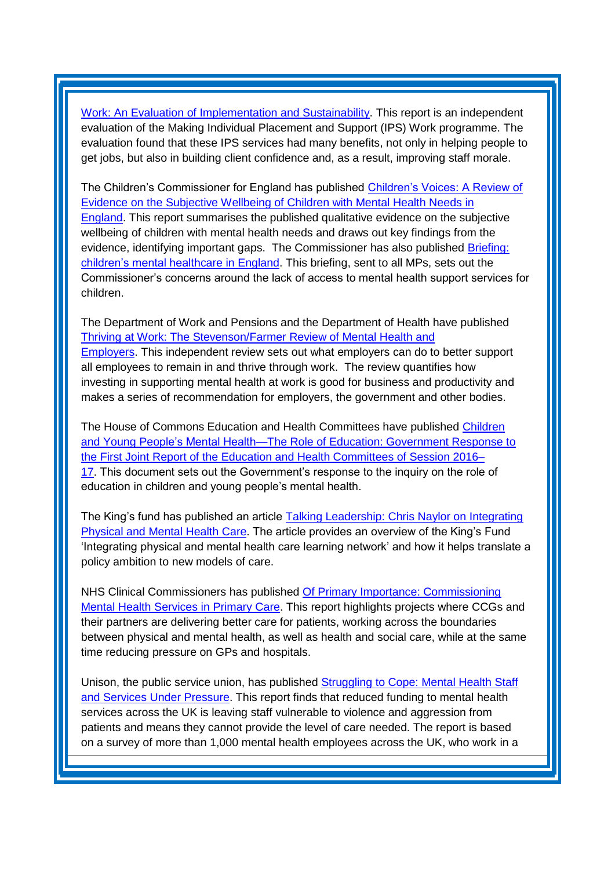[Work: An Evaluation of Implementation and Sustainability.](https://www.centreformentalhealth.org.uk/making-individual-placement-and-support-work) This report is an independent evaluation of the Making Individual Placement and Support (IPS) Work programme. The evaluation found that these IPS services had many benefits, not only in helping people to get jobs, but also in building client confidence and, as a result, improving staff morale.

The Children's Commissioner for England has published [Children's Voices: A Review of](https://www.childrenscommissioner.gov.uk/publication/childrens-voices-the-wellbeing-of-children-with-mental-health-needs-in-england/)  [Evidence on the Subjective Wellbeing of Children with Mental Health Needs in](https://www.childrenscommissioner.gov.uk/publication/childrens-voices-the-wellbeing-of-children-with-mental-health-needs-in-england/)  [England.](https://www.childrenscommissioner.gov.uk/publication/childrens-voices-the-wellbeing-of-children-with-mental-health-needs-in-england/) This report summarises the published qualitative evidence on the subjective wellbeing of children with mental health needs and draws out key findings from the evidence, identifying important gaps. The Commissioner has also published [Briefing:](https://www.childrenscommissioner.gov.uk/publication/briefing-childrens-mental-healthcare-in-england/)  [children's mental healthcare in England.](https://www.childrenscommissioner.gov.uk/publication/briefing-childrens-mental-healthcare-in-england/) This briefing, sent to all MPs, sets out the Commissioner's concerns around the lack of access to mental health support services for children.

The Department of Work and Pensions and the Department of Health have published [Thriving at Work: The Stevenson/Farmer Review of Mental Health and](https://www.gov.uk/government/publications/thriving-at-work-a-review-of-mental-health-and-employers)  [Employers.](https://www.gov.uk/government/publications/thriving-at-work-a-review-of-mental-health-and-employers) This independent review sets out what employers can do to better support all employees to remain in and thrive through work. The review quantifies how investing in supporting mental health at work is good for business and productivity and makes a series of recommendation for employers, the government and other bodies.

The House of Commons Education and Health Committees have published [Children](https://publications.parliament.uk/pa/cm201719/cmselect/cmeduc/451/45102.htm)  [and Young](https://publications.parliament.uk/pa/cm201719/cmselect/cmeduc/451/45102.htm) [People's Mental Health—The Role of Education: Government Response to](https://publications.parliament.uk/pa/cm201719/cmselect/cmeduc/451/45102.htm)  [the First Joint Report of the](https://publications.parliament.uk/pa/cm201719/cmselect/cmeduc/451/45102.htm) [Education and Health Committees of Session 2016–](https://publications.parliament.uk/pa/cm201719/cmselect/cmeduc/451/45102.htm) [17.](https://publications.parliament.uk/pa/cm201719/cmselect/cmeduc/451/45102.htm) This document sets out the Government's response to the inquiry on the role of education in children and young people's mental health.

The King's fund has published an article [Talking Leadership: Chris Naylor on Integrating](https://www.kingsfund.org.uk/publications/chris-naylor-integrating-physical-mental-health-care)  [Physical and Mental Health Care.](https://www.kingsfund.org.uk/publications/chris-naylor-integrating-physical-mental-health-care) The article provides an overview of the King's Fund 'Integrating physical and mental health care learning network' and how it helps translate a policy ambition to new models of care.

NHS Clinical Commissioners has published [Of Primary Importance: Commissioning](https://www.nhscc.org/latest-news/mental-health-primary-care/)  [Mental Health Services in Primary Care.](https://www.nhscc.org/latest-news/mental-health-primary-care/) This report highlights projects where CCGs and their partners are delivering better care for patients, working across the boundaries between physical and mental health, as well as health and social care, while at the same time reducing pressure on GPs and hospitals.

Unison, the public service union, has published [Struggling to Cope: Mental Health Staff](https://www.unison.org.uk/news/press-release/2017/10/cuts-mental-health-leave-staff-facing-violence-aggression-says-unison/)  [and Services Under Pressure.](https://www.unison.org.uk/news/press-release/2017/10/cuts-mental-health-leave-staff-facing-violence-aggression-says-unison/) This report finds that reduced funding to mental health services across the UK is leaving staff vulnerable to violence and aggression from patients and means they cannot provide the level of care needed. The report is based on a survey of more than 1,000 mental health employees across the UK, who work in a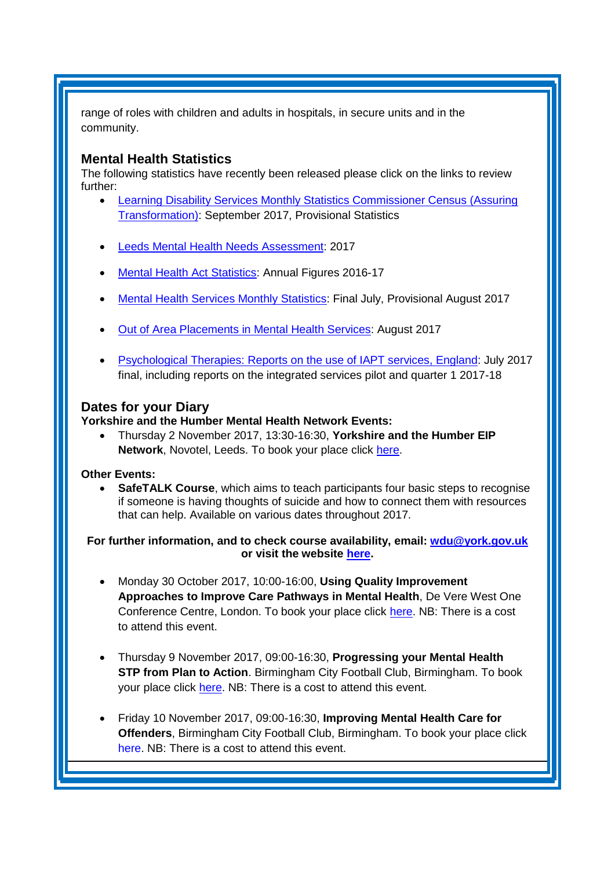range of roles with children and adults in hospitals, in secure units and in the community.

#### <span id="page-4-0"></span>**Mental Health Statistics**

The following statistics have recently been released please click on the links to review further:

- <span id="page-4-1"></span> [Learning Disability Services Monthly Statistics Commissioner Census \(Assuring](https://www.gov.uk/government/statistics/learning-disability-services-monthly-statistics-commissioner-census-assuring-transformation-september-2017-provisional-statistics)  [Transformation\):](https://www.gov.uk/government/statistics/learning-disability-services-monthly-statistics-commissioner-census-assuring-transformation-september-2017-provisional-statistics) September 2017, Provisional Statistics
- [Leeds Mental Health Needs Assessment:](http://observatory.leeds.gov.uk/news/item?itemId=253) 2017
- [Mental Health Act Statistics:](http://digital.nhs.uk/catalogue/PUB30105) Annual Figures 2016-17
- **[Mental Health Services Monthly Statistics:](http://digital.nhs.uk/catalogue/PUB30115) Final July, Provisional August 2017**
- [Out of Area Placements in Mental Health Services:](http://digital.nhs.uk/catalogue/PUB30114) August 2017
- [Psychological Therapies: Reports on the use of IAPT services, England:](https://www.gov.uk/government/statistics/psychological-therapies-reports-on-the-use-of-iapt-services-england-july-2017-final-including-reports-on-the-integrated-services-pilot-and-quarter) July 2017 final, including reports on the integrated services pilot and quarter 1 2017-18

### **Dates for your Diary**

**Yorkshire and the Humber Mental Health Network Events:**

 Thursday 2 November 2017, 13:30-16:30, **Yorkshire and the Humber EIP Network**, Novotel, Leeds. To book your place click [here.](https://www.eventbrite.co.uk/e/yorkshire-and-the-humber-eip-network-tickets-37305556925)

#### **Other Events:**

 **SafeTALK Course**, which aims to teach participants four basic steps to recognise if someone is having thoughts of suicide and how to connect them with resources that can help. Available on various dates throughout 2017.

**For further information, and to check course availability, email: [wdu@york.gov.uk](mailto:wdu@york.gov.uk) or visit the website [here.](http://www.yorkworkforcedevelopment.org.uk/)**

- Monday 30 October 2017, 10:00-16:00, **Using Quality Improvement Approaches to Improve Care Pathways in Mental Health**, De Vere West One Conference Centre, London. To book your place click [here.](https://www.healthcareconferencesuk.co.uk/event/1325/book) NB: There is a cost to attend this event.
- Thursday 9 November 2017, 09:00-16:30, **Progressing your Mental Health STP from Plan to Action**. Birmingham City Football Club, Birmingham. To book your place click [here.](http://www.sbk-healthcare.co.uk/booking/index/2263/?utm_source=SBK%20Healthcare&utm_medium=email&utm_campaign=8555067_1793MH%201st%20email) NB: There is a cost to attend this event.
- Friday 10 November 2017, 09:00-16:30, **Improving Mental Health Care for Offenders**, Birmingham City Football Club, Birmingham. To book your place click [here.](http://www.sbk-healthcare.co.uk/home/title/2259/nhsconference/improving-mental-health-care-for-offenders/?utm_source=SBK%20Healthcare&utm_medium=email&utm_campaign=8521670_1794MH%201st%20email#agenda) NB: There is a cost to attend this event.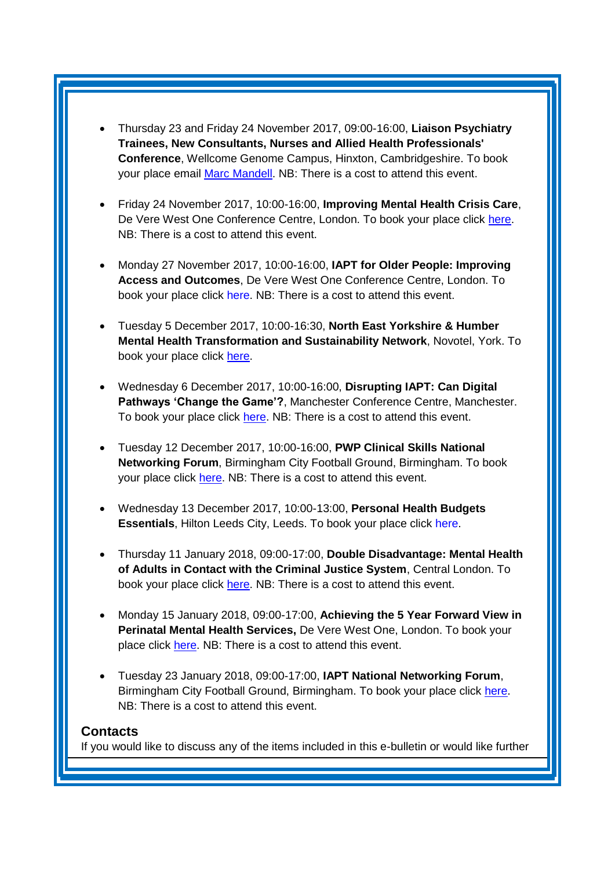- Thursday 23 and Friday 24 November 2017, 09:00-16:00, **Liaison Psychiatry Trainees, New Consultants, Nurses and Allied Health Professionals' Conference**, Wellcome Genome Campus, Hinxton, Cambridgeshire. To book your place email [Marc Mandell.](mailto:Marc.Mandell@hpft.nhs.uk) NB: There is a cost to attend this event.
- Friday 24 November 2017, 10:00-16:00, **Improving Mental Health Crisis Care**, De Vere West One Conference Centre, London. To book your place click [here.](https://www.healthcareconferencesuk.co.uk/event/1171/book) NB: There is a cost to attend this event.
- Monday 27 November 2017, 10:00-16:00, **IAPT for Older People: Improving Access and Outcomes**, De Vere West One Conference Centre, London. To book your place click [here.](https://www.healthcareconferencesuk.co.uk/event/1297/book) NB: There is a cost to attend this event.
- Tuesday 5 December 2017, 10:00-16:30, **North East Yorkshire & Humber Mental Health Transformation and Sustainability Network**, Novotel, York. To book your place click [here.](https://www.eventbrite.co.uk/e/north-east-yorkshire-and-humber-mental-health-transformation-and-sustainability-network-registration-35373145029)
- Wednesday 6 December 2017, 10:00-16:00, **Disrupting IAPT: Can Digital Pathways 'Change the Game'?**, Manchester Conference Centre, Manchester. To book your place click [here.](https://www.healthcareconferencesuk.co.uk/event/1292/book) NB: There is a cost to attend this event.
- Tuesday 12 December 2017, 10:00-16:00, **PWP Clinical Skills National Networking Forum**, Birmingham City Football Ground, Birmingham. To book your place click [here.](http://www.iapt-nnf.co.uk/booking/index/78/?utm_source=SBK%20Healthcare&utm_medium=email&utm_campaign=8609655_17116PT%201st%20email&dm_i=1SB0,54J93,MCTTTA,JNWLK,1) NB: There is a cost to attend this event.
- Wednesday 13 December 2017, 10:00-13:00, **Personal Health Budgets Essentials**, Hilton Leeds City, Leeds. To book your place click [here.](https://www.events.england.nhs.uk/events/4760/personal-health-budgets-essentials-leeds)
- Thursday 11 January 2018, 09:00-17:00, **Double Disadvantage: Mental Health of Adults in Contact with the Criminal Justice System**, Central London. To book your place click [here.](https://www.publicpolicyexchange.co.uk/book.php?event=IA11-PPE&ss=em&tg=1c) NB: There is a cost to attend this event.
- Monday 15 January 2018, 09:00-17:00, **Achieving the 5 Year Forward View in Perinatal Mental Health Services,** De Vere West One, London. To book your place click [here.](https://www.healthcareconferencesuk.co.uk/event/1081/book) NB: There is a cost to attend this event.
- Tuesday 23 January 2018, 09:00-17:00, **IAPT National Networking Forum**, Birmingham City Football Ground, Birmingham. To book your place click [here.](http://www.iapt-nnf.co.uk/booking/index/77/?utm_source=SBK%20Healthcare&utm_medium=email&utm_campaign=8639184_1801PT%201st%20email&dm_i=1SB0,5561C,MCTTTA,JQX1K,1) NB: There is a cost to attend this event.

#### <span id="page-5-0"></span>**Contacts**

If you would like to discuss any of the items included in this e-bulletin or would like further